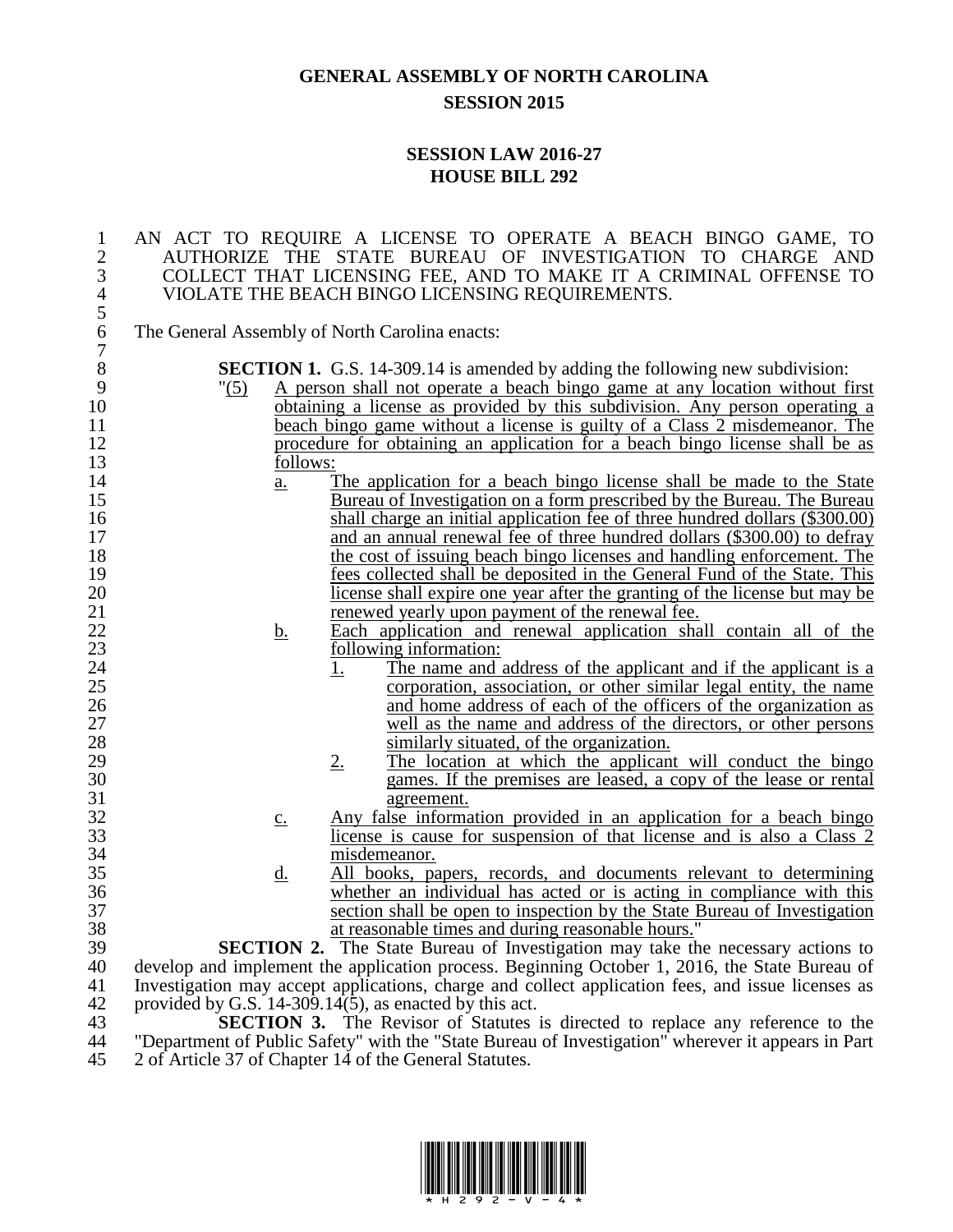## **GENERAL ASSEMBLY OF NORTH CAROLINA SESSION 2015**

## **SESSION LAW 2016-27 HOUSE BILL 292**

## 1 AN ACT TO REQUIRE A LICENSE TO OPERATE A BEACH BINGO GAME, TO 2 AUTHORIZE THE STATE BUREAU OF INVESTIGATION TO CHARGE AND 2 AUTHORIZE THE STATE BUREAU OF INVESTIGATION TO CHARGE AND 3 COLLECT THAT LICENSING FEE, AND TO MAKE IT A CRIMINAL OFFENSE TO 3 COLLECT THAT LICENSING FEE, AND TO MAKE IT A CRIMINAL OFFENSE TO VIOLATE THE BEACH BINGO LICENSING REOUIREMENTS. 4 VIOLATE THE BEACH BINGO LICENSING REQUIREMENTS.

The General Assembly of North Carolina enacts:

 $\frac{5}{6}$ 

 $\begin{array}{c} 7 \\ 8 \end{array}$ 

8 **SECTION 1.** G.S. 14-309.14 is amended by adding the following new subdivision:<br>9 (5) A person shall not operate a beach bingo game at any location without f

- 9 "(5) A person shall not operate a beach bingo game at any location without first 10 **obtaining a license as provided by this subdivision.** Any person operating a 11 beach bingo game without a license is guilty of a Class 2 misdemeanor. The 12 procedure for obtaining an application for a beach bingo license shall be as 13 follows:
- 14 a. The application for a beach bingo license shall be made to the State 15 bureau of Investigation on a form prescribed by the Bureau. The Bureau Bureau of Investigation on a form prescribed by the Bureau. The Bureau 16 shall charge an initial application fee of three hundred dollars (\$300.00) 17 and an annual renewal fee of three hundred dollars (\$300.00) to defray 18 the cost of issuing beach bingo licenses and handling enforcement. The 19 fees collected shall be deposited in the General Fund of the State. This 20 license shall expire one year after the granting of the license but may be 21 renewed yearly upon payment of the renewal fee.
- 22 b. Each application and renewal application shall contain all of the 23 23 following information:
- 1. The name and address of the applicant and if the applicant is a 25 corporation, association, or other similar legal entity, the name<br>26 and home address of each of the officers of the organization as and home address of each of the officers of the organization as 27 well as the name and address of the directors, or other persons 28 similarly situated, of the organization.<br>29 2. The location at which the applican
- 2. The location at which the applicant will conduct the bingo<br>30 2. The premises are leased, a copy of the lease or rental games. If the premises are leased, a copy of the lease or rental 31 agreement.
- 32 c. Any false information provided in an application for a beach bingo 33 license is cause for suspension of that license and is also a Class 2 34 misdemeanor.<br>35 d. All books, pa
- 35 d. All books, papers, records, and documents relevant to determining 36 whether an individual has acted or is acting in compliance with this section shall be open to inspection by the State Bureau of Investigation section shall be open to inspection by the State Bureau of Investigation 38 at reasonable times and during reasonable hours."

**SECTION 2.** The State Bureau of Investigation may take the necessary actions to develop and implement the application process. Beginning October 1, 2016, the State Bureau of develop and implement the application process. Beginning October 1, 2016, the State Bureau of 41 Investigation may accept applications, charge and collect application fees, and issue licenses as 42 provided by G.S. 14-309.14(5), as enacted by this act.

43 **SECTION 3.** The Revisor of Statutes is directed to replace any reference to the 44 "Department of Public Safety" with the "State Bureau of Investigation" wherever it appears in Part 45 2 of Article 37 of Chapter 14 of the General Statutes.